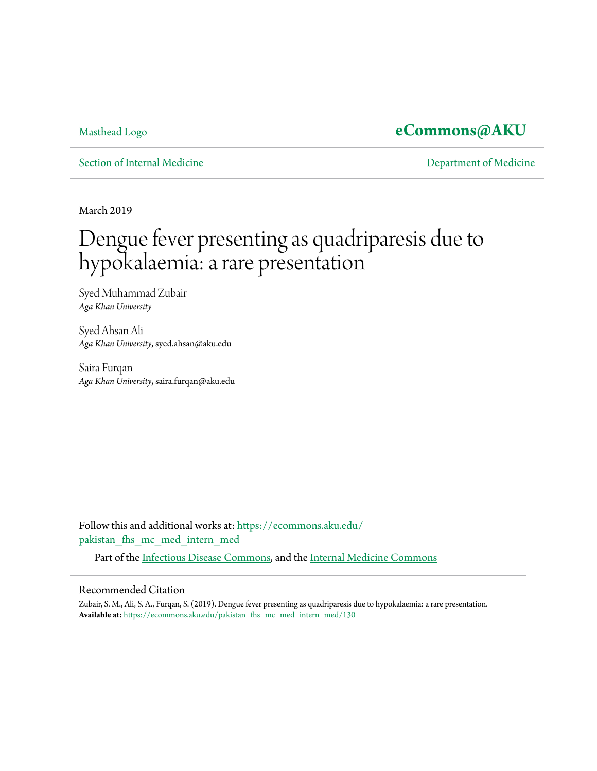## [Masthead Logo](http://www.aku.edu/Pages/home.aspx?utm_source=ecommons.aku.edu%2Fpakistan_fhs_mc_med_intern_med%2F130&utm_medium=PDF&utm_campaign=PDFCoverPages) **[eCommons@AKU](https://ecommons.aku.edu?utm_source=ecommons.aku.edu%2Fpakistan_fhs_mc_med_intern_med%2F130&utm_medium=PDF&utm_campaign=PDFCoverPages)**

[Section of Internal Medicine](https://ecommons.aku.edu/pakistan_fhs_mc_med_intern_med?utm_source=ecommons.aku.edu%2Fpakistan_fhs_mc_med_intern_med%2F130&utm_medium=PDF&utm_campaign=PDFCoverPages) **[Department of Medicine](https://ecommons.aku.edu/pakistan_fhs_mc_med?utm_source=ecommons.aku.edu%2Fpakistan_fhs_mc_med_intern_med%2F130&utm_medium=PDF&utm_campaign=PDFCoverPages)** 

March 2019

# Dengue fever presenting as quadriparesis due to hypokalaemia: a rare presentation

Syed Muhammad Zubair *Aga Khan University*

Syed Ahsan Ali *Aga Khan University*, syed.ahsan@aku.edu

Saira Furqan *Aga Khan University*, saira.furqan@aku.edu

Follow this and additional works at: [https://ecommons.aku.edu/](https://ecommons.aku.edu/pakistan_fhs_mc_med_intern_med?utm_source=ecommons.aku.edu%2Fpakistan_fhs_mc_med_intern_med%2F130&utm_medium=PDF&utm_campaign=PDFCoverPages) [pakistan\\_fhs\\_mc\\_med\\_intern\\_med](https://ecommons.aku.edu/pakistan_fhs_mc_med_intern_med?utm_source=ecommons.aku.edu%2Fpakistan_fhs_mc_med_intern_med%2F130&utm_medium=PDF&utm_campaign=PDFCoverPages)

Part of the [Infectious Disease Commons,](http://network.bepress.com/hgg/discipline/689?utm_source=ecommons.aku.edu%2Fpakistan_fhs_mc_med_intern_med%2F130&utm_medium=PDF&utm_campaign=PDFCoverPages) and the [Internal Medicine Commons](http://network.bepress.com/hgg/discipline/1356?utm_source=ecommons.aku.edu%2Fpakistan_fhs_mc_med_intern_med%2F130&utm_medium=PDF&utm_campaign=PDFCoverPages)

#### Recommended Citation

Zubair, S. M., Ali, S. A., Furqan, S. (2019). Dengue fever presenting as quadriparesis due to hypokalaemia: a rare presentation. **Available at:** [https://ecommons.aku.edu/pakistan\\_fhs\\_mc\\_med\\_intern\\_med/130](https://ecommons.aku.edu/pakistan_fhs_mc_med_intern_med/130)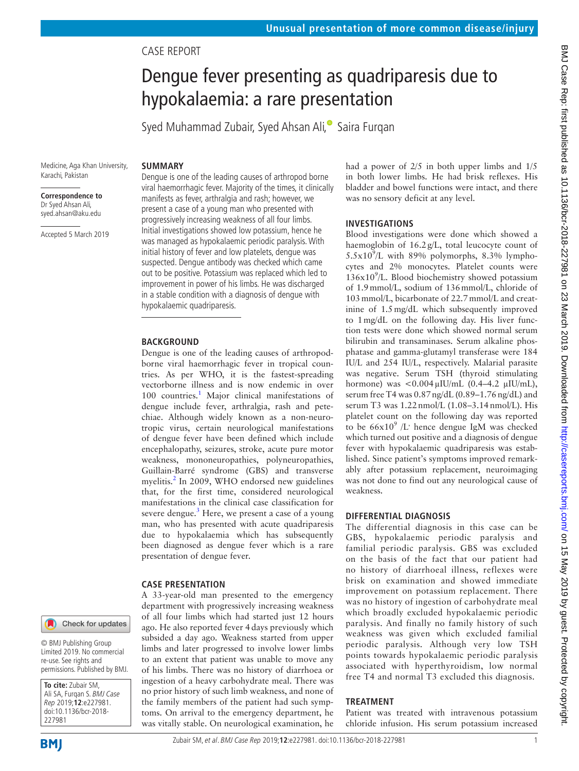## Case report

# Dengue fever presenting as quadriparesis due to hypokalaemia: a rare presentation

Syed Muhammad Zubair[,](http://orcid.org/0000-0003-2274-2200) Syed Ahsan Ali,<sup>®</sup> Saira Furgan

## **Summary**

# **Correspondence to**

Karachi, Pakistan

Medicine, Aga Khan University,

Dr Syed Ahsan Ali, syed.ahsan@aku.edu

Accepted 5 March 2019

Dengue is one of the leading causes of arthropod borne viral haemorrhagic fever. Majority of the times, it clinically manifests as fever, arthralgia and rash; however, we present a case of a young man who presented with progressively increasing weakness of all four limbs. Initial investigations showed low potassium, hence he was managed as hypokalaemic periodic paralysis. With initial history of fever and low platelets, dengue was suspected. Dengue antibody was checked which came out to be positive. Potassium was replaced which led to improvement in power of his limbs. He was discharged in a stable condition with a diagnosis of dengue with hypokalaemic quadriparesis.

#### **BACKGROUND**

Dengue is one of the leading causes of arthropodborne viral haemorrhagic fever in tropical countries. As per WHO, it is the fastest-spreading vectorborne illness and is now endemic in over [1](#page-2-0)00 countries.<sup>1</sup> Major clinical manifestations of dengue include fever, arthralgia, rash and petechiae. Although widely known as a non-neurotropic virus, certain neurological manifestations of dengue fever have been defined which include encephalopathy, seizures, stroke, acute pure motor weakness, mononeuropathies, polyneuropathies, Guillain-Barré syndrome (GBS) and transverse myelitis.<sup>[2](#page-2-1)</sup> In 2009, WHO endorsed new guidelines that, for the first time, considered neurological manifestations in the clinical case classification for severe dengue.<sup>[3](#page-2-2)</sup> Here, we present a case of a young man, who has presented with acute quadriparesis due to hypokalaemia which has subsequently been diagnosed as dengue fever which is a rare presentation of dengue fever.

#### **Case presentation**

A 33-year-old man presented to the emergency department with progressively increasing weakness of all four limbs which had started just 12 hours ago. He also reported fever 4days previously which subsided a day ago. Weakness started from upper limbs and later progressed to involve lower limbs to an extent that patient was unable to move any of his limbs. There was no history of diarrhoea or ingestion of a heavy carbohydrate meal. There was no prior history of such limb weakness, and none of the family members of the patient had such symptoms. On arrival to the emergency department, he was vitally stable. On neurological examination, he

had a power of 2/5 in both upper limbs and 1/5 in both lower limbs. He had brisk reflexes. His bladder and bowel functions were intact, and there was no sensory deficit at any level.

### **Investigations**

Blood investigations were done which showed a haemoglobin of 16.2g/L, total leucocyte count of  $5.5x10<sup>9</sup>/L$  with 89% polymorphs, 8.3% lymphocytes and 2% monocytes. Platelet counts were  $136x10<sup>9</sup>/L$ . Blood biochemistry showed potassium of 1.9mmol/L, sodium of 136mmol/L, chloride of 103mmol/L, bicarbonate of 22.7mmol/L and creatinine of 1.5mg/dL which subsequently improved to 1mg/dL on the following day. His liver function tests were done which showed normal serum bilirubin and transaminases. Serum alkaline phosphatase and gamma-glutamyl transferase were 184 IU/L and 254 IU/L, respectively. Malarial parasite was negative. Serum TSH (thyroid stimulating hormone) was  $< 0.004 \mu$ IU/mL (0.4–4.2  $\mu$ IU/mL), serum free T4 was 0.87ng/dL (0.89–1.76ng/dL) and serum T3 was 1.22nmol/L (1.08–3.14nmol/L). His platelet count on the following day was reported to be  $66x10^9$  /L' hence dengue IgM was checked which turned out positive and a diagnosis of dengue fever with hypokalaemic quadriparesis was established. Since patient's symptoms improved remarkably after potassium replacement, neuroimaging was not done to find out any neurological cause of weakness.

### **Differential diagnosis**

The differential diagnosis in this case can be GBS, hypokalaemic periodic paralysis and familial periodic paralysis. GBS was excluded on the basis of the fact that our patient had no history of diarrhoeal illness, reflexes were brisk on examination and showed immediate improvement on potassium replacement. There was no history of ingestion of carbohydrate meal which broadly excluded hypokalaemic periodic paralysis. And finally no family history of such weakness was given which excluded familial periodic paralysis. Although very low TSH points towards hypokalaemic periodic paralysis associated with hyperthyroidism, low normal free T4 and normal T3 excluded this diagnosis.

### **Treatment**

Patient was treated with intravenous potassium chloride infusion. His serum potassium increased





**BMI** 

**To cite:** Zubair SM, Ali SA, Furqan S. BMJ Case Rep 2019;**12**:e227981.

© BMJ Publishing Group Limited 2019. No commercial re-use. See rights and permissions. Published by BMJ.

Check for updates